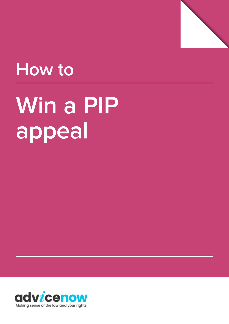

# **How to**

# Win a PIP **appeal**

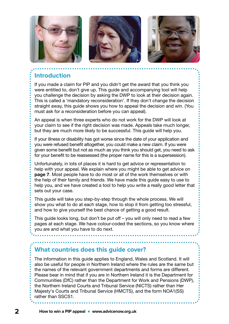

#### **Introduction**

If you made a claim for PIP and you didn't get the award that you think you were entitled to, don't give up. This guide and accompanying tool will help you challenge the decision by asking the DWP to look at their decision again. This is called a 'mandatory reconsideration'. If they don't change the decision straight away, this guide shows you how to appeal the decision and win. (You must ask for a reconsideration before you can appeal).

An appeal is when three experts who do not work for the DWP will look at your claim to see if the right decision was made. Appeals take much longer, but they are much more likely to be successful. This guide will help you.

If your illness or disability has got worse since the date of your application and you were refused benefit altogether, you could make a new claim. If you were given some benefit but not as much as you think you should get, you need to ask for your benefit to be reassessed (the proper name for this is a supersession).

Unfortunately, in lots of places it is hard to get advice or representation to help with your appeal. We explain where you might be able to get advice on [page 7](#page-6-0). Most people have to do most or all of the work themselves or with the help of their family and friends. We have made this guide easy to use to help you, and we have created a tool to help you write a really good letter that sets out your case.

This guide will take you step-by-step through the whole process. We will show you what to do at each stage, how to stop it from getting too stressful, and how to give yourself the best chance of getting a good result.

This guide looks long, but don't be put off – you will only need to read a few pages at each stage. We have colour-coded the sections, so you know where you are and what you have to do next.

#### **What countries does this guide cover?**

The information in this guide applies to England, Wales and Scotland. It will also be useful for people in Northern Ireland where the rules are the same but the names of the relevant government departments and forms are different. Please bear in mind that if you are in Northern Ireland it is the Department for Communities (DfC) rather than the Department for Work and Pensions (DWP), the Northern Ireland Courts and Tribunal Service (NICTS) rather than Her Majesty's Courts and Tribunal Service (HMCTS), and the form NOA1(SS) rather than SSCS1.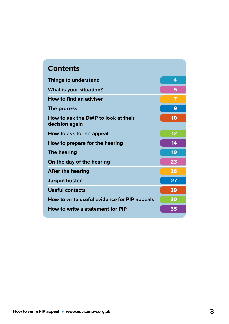| <b>Contents</b>                                       |    |
|-------------------------------------------------------|----|
| <b>Things to understand</b>                           | 4  |
| What is your situation?                               | 5  |
| How to find an adviser                                | 7  |
| The process                                           | 9  |
| How to ask the DWP to look at their<br>decision again | 10 |
| How to ask for an appeal                              | 12 |
| How to prepare for the hearing                        | 14 |
| <b>The hearing</b>                                    | 19 |
| On the day of the hearing                             | 23 |
| <b>After the hearing</b>                              | 26 |
| <b>Jargon buster</b>                                  | 27 |
| <b>Useful contacts</b>                                | 29 |
| How to write useful evidence for PIP appeals          | 30 |
| How to write a statement for PIP                      | 35 |
|                                                       |    |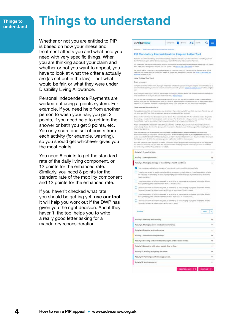#### <span id="page-3-0"></span>**Things to understand**

### **Things to understand**

Whether or not you are entitled to PIP is based on how your illness and treatment affects you and what help you need with very specific things. When you are thinking about your claim and whether or not you want to appeal, you have to look at what the criteria actually are (as set out in the law) – not what would be fair, or what they were under Disability Living Allowance.

Personal Independence Payments are worked out using a points system. For example, if you need help from another person to wash your hair, you get 2 points, if you need help to get into the shower or bath you get 3 points, etc. You only score one set of points from each activity (for example, washing), so you should get whichever gives you the most points.

You need 8 points to get the standard rate of the daily living component, or 12 points for the enhanced rate. Similarly, you need 8 points for the standard rate of the mobility component and 12 points for the enhanced rate.

If you haven't checked what rate you should be getting yet, [use our tool](http://www.advicenow.org.uk/pip-tool). It will help you work out if the DWP has given you the right decision. And if they haven't, the tool helps you to write a really good letter asking for a mandatory reconsideration.

#### advicenow Corpone **b** from A-Z Seath  $\equiv$ **Control of the Marine and** PIP Mandatory Reconsideration Request Letter Tool .<br>Welcome to our PIP Mandebury Recordidentials Request Letter Tool: We hope this will make it essert for you<br>the CWP to look egain at their decision about your client for Personal Independence Payment. .<br>Kou haw to ask the CIWP to look at their discission again (called a "mandatory recomplieration") to<br>If the CWP don't unange their decision, jour can appeal – see (<mark>the to anit a PIP appeal</mark> for advice if the DWP don't uneinge their decision, you can appeal – see <u>Hims Is with a PIP appeal</u> for advice<br>You should ask for a mentiotary reconsuleration within I calendar mentit of the data on the decrease lett<br>time limit has How To Use This Tool Disable art accounts clong this tool takes a little while. If you get third or are called away, you can aske your progress and come back to it<br>Tater. In order to do this you need to have an Advisence account - you can create an account now, or If you save your letter to your account, we will have to soon your personal details. We will leep them secure and will<br>Nevel past them on to anyone, You can read more in our intersy notice .<br>Carl shin vie the fast without creating an accuunt. If you do this, you will hall be able to take a times. Th<br>Gogh using the tool, and we will not store your latter or personal details. The letter are still be downloss<br>w Check what rate you are entitled to .<br>We need to know which of the activities and descriptors that entitie you to PIP plu think you meet. This will asseted<br>you what rate of PIP you think by your own assessment, you should have received. are the scovelies and theorymost vard in decide flyou are entited to PIP. The schedule are the dely t<br>wiling a meal, and the descriptorit are the phreast that describe the help you need to consiste that to<br>Afficially must Please tehnit all of the descriptors below that you meet for each task. If you which is cally choose the une instiglien jou the most points. We've changed the language of them slightly to make E exist to understand .<br>I the only way you can do something is to bo-it bedly unsafely, slowly or only occessorally. Then send the<br>authors that says you can't do it. Similarly if you can't do a took as many times as you might meet or if domp<br>au If the critic way you can like you .<br>Y you feel Justran on wome days than on others, choose the phrese that dressibes hole things as<br>you are award to watsen why you meet this describbe on the next page, sopiein what help you<br>and better days and how frequent Activity 1. Preparing food. Activity 2. Taking nutrition. Activity 3. Managing therapy or monitoring a health condition. × I can manage medication or therapy or monitor my health constitue without help [7] if read to use an aid or appliance to be able to manage my medication or i read super w stay safe, or reminding or encouraging or physical help to manage my medication or monitor a health condition. Theed supervision to help me stay while ne minding or encouraging, or physical help to be all sinage therapy that takes no more than 3.5 hours a week  $\Box$  i need supericion to help me stay wile, or remarking or encouraging, or phy anage therapy that takes more than \$5 but no more than 7 hours a we I need supervision to hela me stay sells or remembing or encouraging or physical help to be able to manage therapy that takes more than 7 but no more than 14 hours a we 1 heed supervision to help me stay safe, or reminding or encouraging, or physical help to be at manage therizor that takes more than 14 hours a rene uper  $|3|$ Activity 4. Washing and bathing. Ÿ. Activity 5. Managing toilet needs or incontinence. Activity 6. Dressing and undressing. Activity 7. Communicating verbally. Activity 8: Reading and understanding signs: symbols and words. G Activity 9. Engaging with other people face to face. Activity 10. Making budgeting decisions. Activity 11. Planning and following journeys. ù. Activity 12. Moving around. Ù.

HIGHTEN ASAME | > CONTINUE | >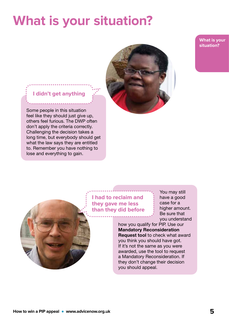### <span id="page-4-0"></span>**What is your situation?**

**What is your situation?**

#### **I didn't get anything**

Some people in this situation feel like they should just give up, others feel furious. The DWP often don't apply the criteria correctly. Challenging the decision takes a long time, but everybody should get what the law says they are entitled to. Remember you have nothing to lose and everything to gain.



**I had to reclaim and they gave me less than they did before**

You may still have a good case for a higher amount. Be sure that you understand

how you qualify for PIP. Use our [Mandatory Reconsideration](http://www.advicenow.org.uk/pip-tool)  [Request tool](http://www.advicenow.org.uk/pip-tool) to check what award you think you should have got. If it's not the same as you were awarded, use the tool to request a Mandatory Reconsideration. If they don't change their decision you should appeal.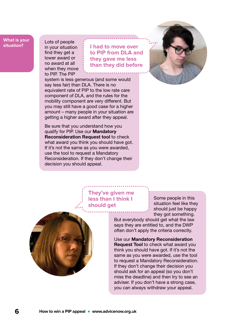#### **What is your situation?**

Lots of people in your situation find they get a lower award or no award at all when they move to PIP. The PIP

**I had to move over to PIP from DLA and they gave me less than they did before**

system is less generous (and some would say less fair) than DLA. There is no equivalent rate of PIP to the low rate care component of DLA, and the rules for the mobility component are very different. But you may still have a good case for a higher amount – many people in your situation are getting a higher award after they appeal.

Be sure that you understand how you qualify for PIP. Use our [Mandatory](http://www.advicenow.org.uk/pip-tool)  [Reconsideration Request tool](http://www.advicenow.org.uk/pip-tool) to check what award you think you should have got. If it's not the same as you were awarded, use the tool to request a Mandatory Reconsideration. If they don't change their decision you should appeal.



#### **They've given me less than I think I should get**

Some people in this situation feel like they should just be happy they got something.



But everybody should get what the law says they are entitled to, and the DWP often don't apply the criteria correctly.

Use our [Mandatory Reconsideration](http://www.advicenow.org.uk/pip-tool)  **[Request Tool](http://www.advicenow.org.uk/pip-tool) to check what award you** think you should have got. If it's not the same as you were awarded, use the tool to request a Mandatory Reconsideration. If they don't change their decision you should ask for an appeal (so you don't miss the deadline) and then try to see an adviser. If you don't have a strong case, you can always withdraw your appeal.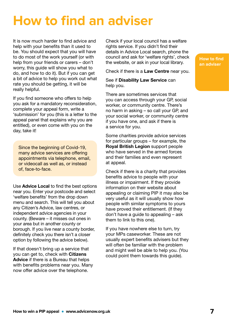### <span id="page-6-0"></span>**How to find an adviser**

It is now much harder to find advice and help with your benefits than it used to be. You should expect that you will have to do most of the work yourself (or with help from your friends or carers – don't worry, this guide will show you what to do, and how to do it). But if you can get a bit of advice to help you work out what rate you should be getting, it will be really helpful.

If you find someone who offers to help you ask for a mandatory reconsideration, complete your appeal form, write a 'submission' for you (this is a letter to the appeal panel that explains why you are entitled), or even come with you on the day, take it!

Since the beginning of Covid-19, many advice services are offering appointments via telephone, email, or videocall as well as, or instead of, face-to-face.

Use [Advice Local](https://advicelocal.uk) to find the best options near you. Enter your postcode and select 'welfare benefits' from the drop down menu and search. This will tell you about any Citizen's Advice, law centres, or independent advice agencies in your county. (Beware – it misses out ones in your area but in another county or borough. If you live near a county border, definitely check you there isn't a closer option by following the advice below).

If that doesn't bring up a service that you can get to, check with [Citizens](https://www.citizensadvice.org.uk)  [Advice](https://www.citizensadvice.org.uk) if there is a Bureau that helps with benefits problems near you. Many now offer advice over the telephone.

Check if your local council has a welfare rights service. If you didn't find their details in Advice Local search, phone the council and ask for 'welfare rights', check the website, or ask in your local library.

Check if there is a [Law Centre](https://www.lawcentres.org.uk/i-am-looking-for-advice) near you.

See if [Disability Law Service](https://dls.org.uk/free-advice/by-phone-or-in-writing/) can help you.

There are sometimes services that you can access through your GP, social worker, or community centre. There's no harm in asking – so call your GP, and your social worker, or community centre if you have one, and ask if there is a service for you.

Some charities provide advice services for particular groups – for example, the [Royal British Legion](https://www.britishlegion.org.uk/get-support/financial-and-employment-support/finance/help-with-disability-benefits) support people who have served in the armed forces and their families and even represent at appeal.

Check if there is a charity that provides benefits advice to people with your illness or impairment. If they provide information on their website about appealing or claiming PIP it may also be very useful as it will usually show how people with similar symptoms to yours have proved their entitlement. (If they don't have a guide to appealing – ask them to link to this one).

If you have nowhere else to turn, try your MPs caseworker. These are not usually expert benefits advisers but they will often be familiar with the problem and might well be able to help you. (You could point them towards this guide).

**How to find an adviser**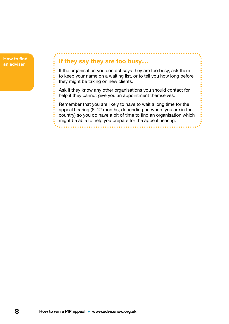

#### **If they say they are too busy….**

If the organisation you contact says they are too busy, ask them to keep your name on a waiting list, or to tell you how long before they might be taking on new clients.

Ask if they know any other organisations you should contact for help if they cannot give you an appointment themselves.

Remember that you are likely to have to wait a long time for the appeal hearing (6–12 months, depending on where you are in the country) so you do have a bit of time to find an organisation which might be able to help you prepare for the appeal hearing.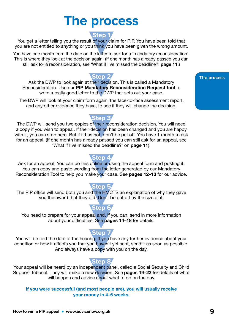### **The process**

#### **Step 1**

<span id="page-8-0"></span>You get a letter telling you the result of your claim for PIP. You have been told that you are not entitled to anything or you think you have been given the wrong amount.

You have one month from the date on the letter to ask for a 'mandatory reconsideration'. This is where they look at the decision again. (If one month has already passed you can still ask for a reconsideration, see 'What if I've missed the deadline?' [page 11](#page-10-0).)

**Step 2** Ask the DWP to look again at their decision. This is called a Mandatory Reconsideration. Use our [PIP Mandatory Reconsideration Request tool](https://www.advicenow.org.uk/pip-tool) to write a really good letter to the DWP that sets out your case.

The DWP will look at your claim form again, the face-to-face assessment report, and any other evidence they have, to see if they will change the decision.

**Step 3** The DWP will send you two copies of their reconsideration decision. You will need a copy if you wish to appeal. If their decision has been changed and you are happy with it, you can stop here. But if it has not, don't be put off. You have 1 month to ask for an appeal. (If one month has already passed you can still ask for an appeal, see 'What if I've missed the deadline?' on [page 11](#page-10-0)).

**Step 4** Ask for an appeal. You can do this online or using the appeal form and posting it. You can copy and paste wording from the letter generated by our Mandatory Reconsideration Tool to help you make your case. See [pages 12–13](#page-11-0) for our advice.

#### The PIP office will send both you and the HMCTS an explanation of why they gave you the award that they did. Don't be put off by the size of it.

You need to prepare for your appeal and, if you can, send in more information about your difficulties. See [pages 14–18](#page-13-0) for details.

#### **Step 7**

You will be told the date of the hearing. If you have any further evidence about your condition or how it affects you that you haven't yet sent, send it as soon as possible. And always have a copy with you on the day.

#### **Step 8**

Your appeal will be heard by an independent panel, called a Social Security and Child Support Tribunal. They will make a new decision. See [pages 19–22](#page-18-0) for details of what will happen and advice about what to do on the day.

If you were successful (and most people are), you will usually receive your money in 4–6 weeks.

#### **The process**

#### **Step 5**

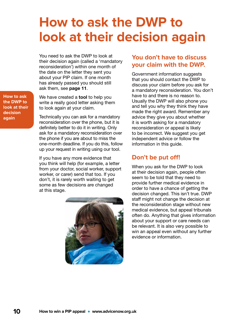### <span id="page-9-0"></span>**How to ask the DWP to look at their decision again**

You need to ask the DWP to look at their decision again (called a 'mandatory reconsideration') within one month of the date on the letter they sent you about your PIP claim. If one month has already passed you should still ask them, see [page 11](#page-10-0).

We have created a **[tool](http://www.advicenow.org.uk/pip-tool)** to help you write a really good letter asking them to look again at your claim.

Technically you can ask for a mandatory reconsideration over the phone, but it is definitely better to do it in writing. Only ask for a mandatory reconsideration over the phone if you are about to miss the one-month deadline. If you do this, follow up your request in writing using our tool.

If you have any more evidence that you think will help (for example, a letter from your doctor, social worker, support worker, or carer) send that too. If you don't, it is rarely worth waiting to get some as few decisions are changed at this stage.



#### **You don't have to discuss your claim with the DWP.**

Government information suggests that you should contact the DWP to discuss your claim before you ask for a mandatory reconsideration. You don't have to and there is no reason to. Usually the DWP will also phone you and tell you why they think they have made the right award. Remember any advice they give you about whether it is worth asking for a mandatory reconsideration or appeal is likely to be incorrect. We suggest you get independent advice or follow the information in this guide.

#### **Don't be put off!**

When you ask for the DWP to look at their decision again, people often seem to be told that they need to provide further medical evidence in order to have a chance of getting the decision changed. This isn't true. DWP staff might not change the decision at the reconsideration stage without new medical evidence, but appeal tribunals often do. Anything that gives information about your support or care needs can be relevant. It is also very possible to win an appeal even without any further evidence or information.

**How to ask the DWP to look at their decision again**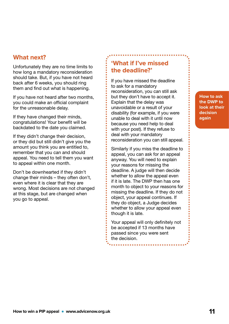#### **How to win a PIP appeal • www.advicenow.org.uk 11**

#### <span id="page-10-0"></span>**What next?**

Unfortunately they are no time limits to how long a mandatory reconsideration should take. But, if you have not heard back after 6 weeks, you should ring them and find out what is happening.

If you have not heard after two months, you could make an official complaint for the unreasonable delay.

If they have changed their minds, congratulations! Your benefit will be backdated to the date you claimed.

If they didn't change their decision, or they did but still didn't give you the amount you think you are entitled to, remember that you can and should appeal. You need to tell them you want to appeal within one month.

Don't be downhearted if they didn't change their minds – they often don't, even where it is clear that they are wrong. Most decisions are not changed at this stage, but are changed when you go to appeal.

#### **'What if I've missed the deadline?'**

If you have missed the deadline to ask for a mandatory reconsideration, you can still ask but they don't have to accept it. Explain that the delay was unavoidable or a result of your disability (for example, if you were unable to deal with it until now because you need help to deal with your post). If they refuse to deal with your mandatory reconsideration you can still appeal.

Similarly if you miss the deadline to appeal, you can ask for an appeal anyway. You will need to explain your reasons for missing the deadline. A judge will then decide whether to allow the appeal even if it is late. The DWP then has one month to object to your reasons for missing the deadline. If they do not object, your appeal continues. If they do object, a Judge decides whether to allow your appeal even though it is late.

Your appeal will only definitely not be accepted if 13 months have passed since you were sent the decision.

**How to ask the DWP to look at their decision again**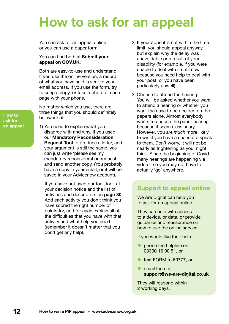### <span id="page-11-0"></span>**How to ask for an appeal**

You can ask for an appeal online or you can use a paper form.

#### You can find both at Submit your [appeal on GOV.UK](http://www.gov.uk/appeal-benefit-decision/submit-appeal).

Both are easy-to-use and understand. If you use the online version, a record of what you have said is sent to your email address. If you use the form, try to keep a copy, or take a photo of each page with your phone.

No matter which you use, there are three things that you should definitely be aware of.

1) You need to explain what you disagree with and why. If you used our [Mandatory Reconsideration](http://www.advicenow.org.uk/pip-tool)  [Request Tool](http://www.advicenow.org.uk/pip-tool) to produce a letter, and your argument is still the same, you can just write 'please see my mandatory reconsideration request' and send another copy. (You probably have a copy in your email, or it will be saved in your Advicenow account).

If you have not used our tool, look at your decision notice and the list of activities and descriptors on [page 30](#page-29-0). Add each activity you don't think you have scored the right number of points for, and for each explain all of the difficulties that you have with that activity and what help you need (remember it doesn't matter that you don't get any help).

- 2) If your appeal is not within the time limit, you should appeal anyway but explain why the delay was unavoidable or a result of your disability (for example, if you were unable to deal with it until now because you need help to deal with your post, or you have been particularly unwell).
- 3) Choose to attend the hearing. You will be asked whether you want to attend a hearing or whether you want the case to be decided on the papers alone. Almost everybody wants to choose the paper hearing because it seems less scary. However, you are *much* more likely to win if you have a chance to speak to them. Don't worry, it will not be nearly as frightening as you might think. Since the beginning of Covid many hearings are happening via video – so you may not have to actually 'go' anywhere.

#### **Support to appeal online**

We Are Digital can help you to ask for an appeal online.

They can help with access to a device, or data, or provide guidance and reassurance on how to use the online service.

If you would like their help

- phone the helpline on 03300 16 00 51, or
- text FORM to 60777, or
- email them at [support@we-are-digital.co.uk](mailto:support%40we-are-digital.co.uk?subject=)

They will respond within 2 working days.

**How to ask for an appeal**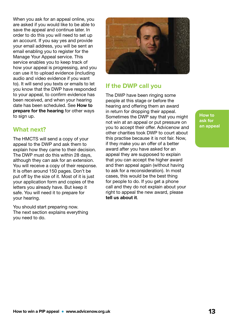When you ask for an appeal online, you are asked if you would like to be able to save the appeal and continue later. In order to do this you will need to set up an account. If you say yes and provide your email address, you will be sent an email enabling you to register for the Manage Your Appeal service. This service enables you to keep track of how your appeal is progressing, and you can use it to upload evidence (including audio and video evidence if you want to). It will send you texts or emails to let you know that the DWP have responded to your appeal, to confirm evidence has been received, and when your hearing date has been scheduled. See [How to](#page-13-0)  [prepare for the hearing](#page-13-0) for other ways to sign up.

#### **What next?**

The HMCTS will send a copy of your appeal to the DWP and ask them to explain how they came to their decision. The DWP must do this within 28 days, although they can ask for an extension. You will receive a copy of their response. It is often around 150 pages. Don't be put off by the size of it. Most of it is just your application form and copies of the letters you already have. But keep it safe. You will need it to prepare for your hearing.

You should start preparing now. The next section explains everything you need to do.



#### **If the DWP call you**

The DWP have been ringing some people at this stage or before the hearing and offering them an award in return for dropping their appeal. Sometimes the DWP say that you might not win at an appeal or put pressure on you to accept their offer. Advicenow and other charities took DWP to court about this practise because it is not fair. Now, if they make you an offer of a better award after you have asked for an appeal they are supposed to explain that you can accept the higher award and then appeal again (without having to ask for a reconsideration). In most cases, this would be the best thing for people to do. If you get a phone call and they do not explain about your right to appeal the new award, please [tell us about it](https://www.surveymonkey.co.uk/r/BVTZPG3)[.](http://actionforblindpeople.org.uk/about-us/downloads/?category=7)

**How to ask for an appeal**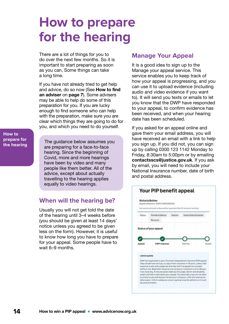### <span id="page-13-0"></span>**How to prepare for the hearing**

There are a lot of things for you to do over the next few months. So it is important to start preparing as soon as you can. Some things can take a long time.

If you have not already tried to get help and advice, do so now (See How to find an adviser on [page 7](#page-6-0)). Some advisers may be able to help do some of this preparation for you. If you are lucky enough to find someone who can help with the preparation, make sure you are clear which things they are going to do for you, and which you need to do yourself.

**How to prepare for the hearing**

The guidance below assumes you are preparing for a face-to-face hearing. Since the beginning of Covid, more and more hearings have been by video and many people like them better. All of the advice, except about actually travelling to the hearing applies equally to video hearings.

#### **When will the hearing be?**

Usually you will not get told the date of the hearing until 3–4 weeks before (you should be given at least 14 days' notice unless you agreed to be given less on the form). However, it is useful to know how long you have to prepare for your appeal. Some people have to wait 6–9 months.

#### **Manage Your Appeal**

It is a good idea to sign up to the Manage your appeal service. This service enables you to keep track of how your appeal is progressing, and you can use it to upload evidence (including audio and video evidence if you want to). It will send you texts or emails to let you know that the DWP have responded to your appeal, to confirm evidence has been received, and when your hearing date has been scheduled.

If you asked for an appeal online and gave them your email address, you will have received an email with a link to help you sign up. If you did not, you can sign up by calling 0300 123 1142 Monday to Friday, 8:30am to 5:00pm or by emailing [contactsscs@justice.gov.uk](mailto:contactsscs%40justice.gov.uk?subject=). If you ask by email, you will need to include your National Insurance number, date of birth and postal address.

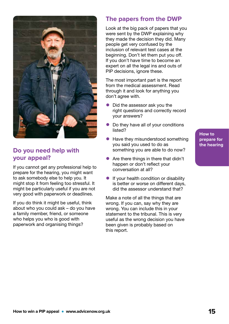

#### **Do you need help with your appeal?**

If you cannot get any professional help to prepare for the hearing, you might want to ask somebody else to help you. It might stop it from feeling too stressful. It might be particularly useful if you are not very good with paperwork or deadlines.

If you do think it might be useful, think about who you could ask – do you have a family member, friend, or someone who helps you who is good with paperwork and organising things?

#### **The papers from the DWP**

Look at the big pack of papers that you were sent by the DWP explaining why they made the decision they did. Many people get very confused by the inclusion of relevant test cases at the beginning. Don't let them put you off. If you don't have time to become an expert on all the legal ins and outs of PIP decisions, ignore these.

The most important part is the report from the medical assessment. Read through it and look for anything you don't agree with.

- Did the assessor ask you the right questions and correctly record your answers?
- Do they have all of your conditions listed?
- Have they misunderstood something you said you used to do as something you are able to do now?
- Are there things in there that didn't happen or don't reflect your conversation at all?
- **•** If your health condition or disability is better or worse on different days, did the assessor understand that?

Make a note of all the things that are wrong. If you can, say why they are wrong. You can include this in your statement to the tribunal. This is very useful as the wrong decision you have been given is probably based on this report.

**How to prepare for the hearing**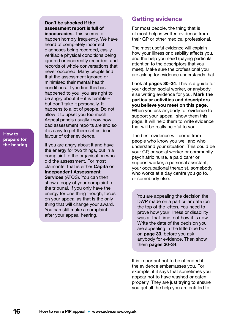Don't be shocked if the assessment report is full of inaccuracies. This seems to happen horribly frequently. We have heard of completely incorrect diagnoses being recorded, easily verifiable physical conditions being ignored or incorrectly recorded, and records of whole conversations that never occurred. Many people find that the assessment ignored or minimised their mental health conditions. If you find this has happened to you, you are right to be angry about it – it is terrible – but don't take it personally. It happens to a lot of people. Do not allow it to upset you too much. Appeal panels usually know how bad assessment reports are and so it is easy to get them set aside in favour of other evidence.

**How to prepare for the hearing**

If you are angry about it and have the energy for two things, put in a complaint to the organisation who did the assessment. For most claimants, that is either [Capita](http://capita-pip.co.uk/en/complaints.html) or [Independent Assessment](https://www.mypipassessment.co.uk)  [Services](https://www.mypipassessment.co.uk) (ATOS). You can then show a copy of your complaint to the tribunal. If you only have the energy for one thing though, focus on your appeal as that is the only thing that will change your award. You can still make a complaint after your appeal hearing.

#### **Getting evidence**

For most people, the thing that is of most help is written evidence from their GP or other medical professional.

The most useful evidence will explain how your illness or disability affects you, and the help you need (paying particular attention to the descriptors that you meet). Make sure the professional you are asking for evidence understands that.

Look at [pages 30–34](#page-29-0). This is a guide for your doctor, social worker, or anybody else writing evidence for you. Mark the particular activities and descriptors you believe you meet on this page. When you ask anybody for evidence to support your appeal, show them this page. It will help them to write evidence that will be really helpful to you.

The best evidence will come from people who know you well and who understand your situation. This could be your GP, or social worker or community psychiatric nurse, a paid carer or support worker, a personal assistant, your occupational therapist, somebody who works at a day centre you go to, or somebody else.

You are appealing the decision the DWP made on a particular date (on the top of the letter). You need to prove how your illness or disability was at that time, not how it is now. Write the date of the decision you are appealing in the little blue box on [page 30](#page-29-0), before you ask anybody for evidence. Then show them [pages 30–34](#page-29-0).

It is important not to be offended if the evidence embarrasses you. For example, if it says that sometimes you appear not to have washed or eaten properly. They are just trying to ensure you get all the help you are entitled to.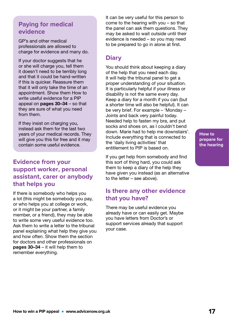#### <span id="page-16-0"></span>**Paying for medical evidence**

GP's and other medical professionals are allowed to charge for evidence and many do.

If your doctor suggests that he or she will charge you, tell them it doesn't need to be terribly long and that it could be hand-written if this is quicker. Reassure them that it will only take the time of an appointment. Show them How to write useful evidence for a PIP appeal on [pages 30–34](#page-29-0) – so that they are sure of what you need from them.

If they insist on charging you, instead ask them for the last two years of your medical records. They will give you this for free and it may contain some useful evidence.

#### **Evidence from your support worker, personal assistant, carer or anybody that helps you**

If there is somebody who helps you a lot (this might be somebody you pay, or who helps you at college or work, or it might be your partner, a family member, or a friend), they may be able to write some very useful evidence too. Ask them to write a letter to the tribunal panel explaining what help they give you and how often. Show them the section for doctors and other professionals on **[pages 30–34](#page-29-0)** – it will help them to remember everything.

It can be very useful for this person to come to the hearing with you – so that the panel can ask them questions. They may be asked to wait outside until their evidence is needed – so you may need to be prepared to go in alone at first.

#### **Diary**

You should think about keeping a diary of the help that you need each day. It will help the tribunal panel to get a proper understanding of your situation. It is particularly helpful if your illness or disability is not the same every day. Keep a diary for a month if you can (but a shorter time will also be helpful). It can be very brief. For example – 'Monday – Joints and back very painful today. Needed help to fasten my bra, and put socks and shoes on, as I couldn't bend down. Marie had to help me downstairs'. Include everything that is connected to the 'daily living activities' that entitlement to PIP is based on.

If you get help from somebody and find this sort of thing hard, you could ask them to keep a diary of the help they have given you instead (as an alternative to the letter – see above).

#### **Is there any other evidence that you have?**

There may be useful evidence you already have or can easily get. Maybe you have letters from Doctor's or support services already that support your case.

**How to prepare for the hearing**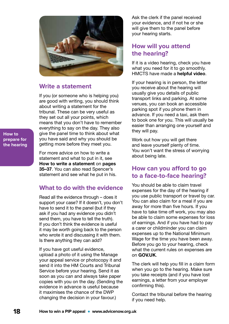

#### **Write a statement**

If you (or someone who is helping you) are good with writing, you should think about writing a statement for the tribunal. These can be very useful as they set out all your points, which means that you don't have to remember everything to say on the day. They also give the panel time to think about what you have said and why you should be getting more before they meet you.

**How to prepare for the hearing**

> For more advice on how to write a statement and what to put in it, see How to write a statement on [pages](#page-34-0)  [35–37](#page-34-0). You can also read Spencer's statement and see what he put in his.

#### **What to do with the evidence**

Read all the evidence through – does it support your case? If it doesn't, you don't have to send it to the panel (but if they ask if you had any evidence you didn't send them, you have to tell the truth). If you don't think the evidence is useful it may be worth going back to the person who wrote it and discussing it with them. Is there anything they can add?

If you have got useful evidence, upload a photo of it using the Manage your appeal service or photocopy it and send it into the HM Courts and Tribunal Service before your hearing. Send it as soon as you can and always take paper copies with you on the day. (Sending the evidence in advance is useful because it maximises the chance of the DWP changing the decision in your favour.)

Ask the clerk if the panel received your evidence, and if not he or she will give them to the panel before your hearing starts.

#### **How will you attend the hearing?**

If it is a video hearing, check you have what you need for it to go smoothly. HMCTS have made a [helpful video](https://youtu.be/Sd0ldV2GKcY).

If your hearing is in person, the letter you receive about the hearing will usually give you details of public transport links and parking. At some venues, you can book an accessible parking spot if you phone them in advance. If you need a taxi, ask them to book one for you. This will usually be easier than arranging one yourself and they will pay.

Work out how you will get there and leave yourself plenty of time. You won't want the stress of worrying about being late.

#### **How can you afford to go to a face-to-face hearing?**

You should be able to claim travel expenses for the day of the hearing if you use public transport or travel by car. You can also claim for a meal if you are away for more than five hours. If you have to take time off work, you may also be able to claim some expenses for loss of earnings. And if you have had to pay a carer or childminder you can claim expenses up to the National Minimum Wage for the time you have been away. Before you go to your hearing, check what the current rules on expenses are on [GOV.UK](https://www.advicenow.org.uk/links/what-happens-hearing).

The clerk will help you fill in a claim form when you go to the hearing. Make sure you take receipts (and if you have lost earnings, a letter from your employer confirming this).

Contact the tribunal before the hearing if you need help.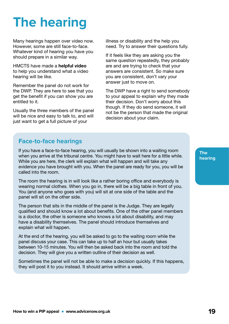## <span id="page-18-0"></span>**The hearing**

Many hearings happen over video now. However, some are still face-to-face. Whatever kind of hearing you have you should prepare in a similar way.

HMCTS have made a [helpful video](https://youtu.be/Sd0ldV2GKcY) to help you understand what a video hearing will be like.

Remember the panel do not work for the DWP. They are here to see that you get the benefit if you can show you are entitled to it.

Usually the three members of the panel will be nice and easy to talk to, and will just want to get a full picture of your

illness or disability and the help you need. Try to answer their questions fully.

If it feels like they are asking you the same question repeatedly, they probably are and are trying to check that your answers are consistent. So make sure you are consistent, don't vary your answer just to move on.

The DWP have a right to send somebody to your appeal to explain why they made their decision. Don't worry about this though. If they do send someone, it will not be the person that made the original decision about your claim.

#### **Face-to-face hearings**

If you have a face-to-face hearing, you will usually be shown into a waiting room when you arrive at the tribunal centre. You might have to wait here for a little while. While you are here, the clerk will explain what will happen and will take any evidence you have brought with you. When the panel are ready for you, you will be called into the room.

The room the hearing is in will look like a rather boring office and everybody is wearing normal clothes. When you go in, there will be a big table in front of you. You (and anyone who goes with you) will sit at one side of the table and the panel will sit on the other side.

The person that sits in the middle of the panel is the Judge. They are legally qualified and should know a lot about benefits. One of the other panel members is a doctor, the other is someone who knows a lot about disability, and may have a disability themselves. The panel should introduce themselves and explain what will happen.

At the end of the hearing, you will be asked to go to the waiting room while the panel discuss your case. This can take up to half an hour but usually takes between 10-15 minutes. You will then be asked back into the room and told the decision. They will give you a written outline of their decision as well.

Sometimes the panel will not be able to make a decision quickly. If this happens, they will post it to you instead. It should arrive within a week.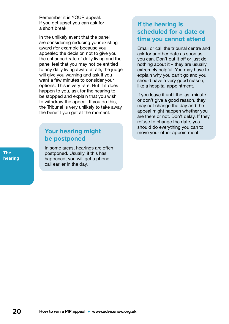Remember it is YOUR appeal. If you get upset you can ask for a short break.

In the unlikely event that the panel are considering reducing your existing award (for example because you appealed the decision not to give you the enhanced rate of daily living and the panel feel that you may not be entitled to any daily living award at all), the judge will give you warning and ask if you want a few minutes to consider your options. This is very rare. But if it does happen to you, ask for the hearing to be stopped and explain that you wish to withdraw the appeal. If you do this, the Tribunal is very unlikely to take away the benefit you get at the moment.

#### **Your hearing might be postponed**

In some areas, hearings are often postponed. Usually, if this has happened, you will get a phone call earlier in the day.

#### **If the hearing is scheduled for a date or time you cannot attend**

Email or call the tribunal centre and ask for another date as soon as you can. Don't put it off or just do nothing about it  $-$  they are usually extremely helpful. You may have to explain why you can't go and you should have a very good reason, like a hospital appointment.

If you leave it until the last minute or don't give a good reason, they may not change the day and the appeal might happen whether you are there or not. Don't delay. If they refuse to change the date, you should do everything you can to move your other appointment.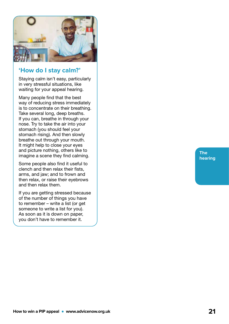

#### **'How do I stay calm?'**

Staying calm isn't easy, particularly in very stressful situations, like waiting for your appeal hearing.

Many people find that the best way of reducing stress immediately is to concentrate on their breathing. Take several long, deep breaths. If you can, breathe in through your nose. Try to take the air into your stomach (you should feel your stomach rising). And then slowly breathe out through your mouth. It might help to close your eyes and picture nothing, others like to imagine a scene they find calming.

Some people also find it useful to clench and then relax their fists, arms, and jaw; and to frown and then relax, or raise their eyebrows and then relax them.

If you are getting stressed because of the number of things you have to remember – write a list (or get someone to write a list for you). As soon as it is down on paper, you don't have to remember it.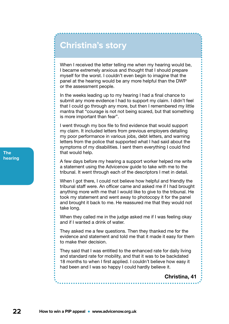### **Christina's story**

When I received the letter telling me when my hearing would be, I became extremely anxious and thought that I should prepare myself for the worst. I couldn't even begin to imagine that the panel at the hearing would be any more helpful than the DWP or the assessment people.

In the weeks leading up to my hearing I had a final chance to submit any more evidence I had to support my claim. I didn't feel that I could go through any more, but then I remembered my little mantra that "courage is not not being scared, but that something is more important than fear".

I went through my box file to find evidence that would support my claim. It included letters from previous employers detailing my poor performance in various jobs, debt letters, and warning letters from the police that supported what I had said about the symptoms of my disabilities. I sent them everything I could find that would help.

A few days before my hearing a support worker helped me write a statement using the Advicenow guide to take with me to the tribunal. It went through each of the descriptors I met in detail.

When I got there, I could not believe how helpful and friendly the tribunal staff were. An officer came and asked me if I had brought anything more with me that I would like to give to the tribunal. He took my statement and went away to photocopy it for the panel and brought it back to me. He reassured me that they would not take long.

When they called me in the judge asked me if I was feeling okay and if I wanted a drink of water.

They asked me a few questions. Then they thanked me for the evidence and statement and told me that it made it easy for them to make their decision.

They said that I was entitled to the enhanced rate for daily living and standard rate for mobility, and that it was to be backdated 18 months to when I first applied. I couldn't believe how easy it had been and I was so happy I could hardly believe it.

#### Christina, 41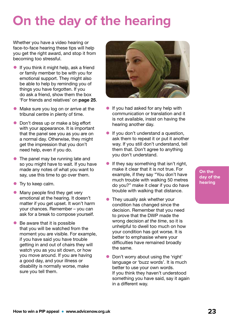### <span id="page-22-0"></span>**On the day of the hearing**

Whether you have a video hearing or face-to-face hearing these tips will help you get the right award, and stop it from becoming too stressful.

- If you think it might help, ask a friend or family member to be with you for emotional support. They might also be able to help by reminding you of things you have forgotten. If you do ask a friend, show them the box 'For friends and relatives' on [page 25](#page-24-0).
- Make sure you log on or arrive at the tribunal centre in plenty of time.
- Don't dress up or make a big effort with your appearance. It is important that the panel see you as you are on a normal day. Otherwise, they might get the impression that you don't need help, even if you do.
- The panel may be running late and so you might have to wait. If you have made any notes of what you want to say, use this time to go over them.
- **•** Try to keep calm.
- Many people find they get very emotional at the hearing. It doesn't matter if you get upset. It won't harm your chances. Remember – you can ask for a break to compose yourself.
- Be aware that it is possible that you will be watched from the moment you are visible. For example, if you have said you have trouble getting in and out of chairs they will watch you as you sit down, or how you move around. If you are having a good day, and your illness or disability is normally worse, make sure you tell them.



- **•** If you had asked for any help with communication or translation and it is not available, insist on having the hearing another day.
- **•** If you don't understand a question, ask them to repeat it or put it another way. If you still don't understand, tell them that. Don't agree to anything you don't understand.
- $\bullet$  If they say something that isn't right, make it clear that it is not true. For example, if they say "You don't have much trouble with walking 50 metres do you?" make it clear if you do have trouble with walking that distance.
- They usually ask whether your condition has changed since the decision. Remember that you need to prove that the DWP made the wrong decision *at the time*, so it is unhelpful to dwell too much on how your condition has got worse. It is better to emphasise where your difficulties have remained broadly the same.
- Don't worry about using the 'right' language or 'buzz words'. It is much better to use your own words. If you think they haven't understood something you have said, say it again in a different way.

**On the day of the hearing**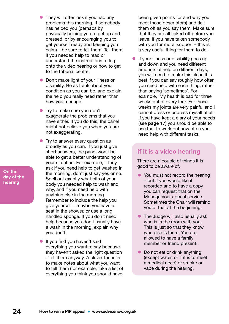- They will often ask if you had any problems this morning. If somebody has helped you (perhaps by physically helping you to get up and dressed, or by encouraging you to get yourself ready and keeping you calm) – be sure to tell them. Tell them if you needed help to read or understand the instructions to log onto the video hearing or how to get to the tribunal centre.
- Don't make light of your illness or disability. Be as frank about your condition as you can be, and explain the help you really need rather than how you manage.
- **•** Try to make sure you don't exaggerate the problems that you have either. If you do this, the panel might not believe you when you are not exaggerating.
- Try to answer every question as broadly as you can. If you just give short answers, the panel won't be able to get a better understanding of your situation. For example, if they ask if you need help to get washed in the morning, don't just say yes or no. Spell out exactly what bits of your body you needed help to wash and why, and if you need help with anything else in the morning. Remember to include the help you give yourself – maybe you have a seat in the shower, or use a long handled sponge. If you don't need help because you don't usually have a wash in the morning, explain why you don't.
- **•** If you find you haven't said everything you want to say because they haven't asked the right question – tell them anyway. A clever tactic is to make notes about what you want to tell them (for example, take a list of everything you think you should have

been given points for and why you meet those descriptors) and tick them off as you say them. Make sure that they are all ticked off before you leave. If you have taken somebody with you for moral support – this is a very useful thing for them to do.

**•** If your illness or disability goes up and down and you need different amounts of help on different days, you will need to make this clear. It is best if you can say roughly how often you need help with each thing, rather than saying 'sometimes'. For example, 'My health is bad for three weeks out of every four. For those weeks my joints are very painful and I cannot dress or undress myself at all'. If you have kept a diary of your needs (see [page 17](#page-16-0)) you should be able to use that to work out how often you need help with different tasks.

#### **If it is a video hearing**

There are a couple of things it is good to be aware of.

- You must not record the hearing – but if you would like it recorded and to have a copy you can request that on the Manage your appeal service. Sometimes the Chair will remind you of that at the beginning.
- The Judge will also usually ask who is in the room with you. This is just so that they know who else is there. You are allowed to have a family member or friend present.
- Do not eat or drink anything (except water, or if it is to meet a medical need) or smoke or vape during the hearing.

**On the day of the hearing**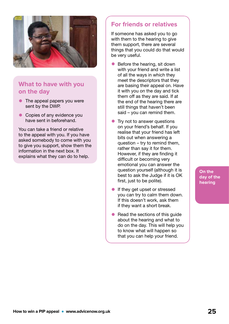<span id="page-24-0"></span>

#### **What to have with you on the day**

- The appeal papers you were sent by the DWP.
- Copies of any evidence you have sent in beforehand.

You can take a friend or relative to the appeal with you. If you have asked somebody to come with you to give you support, show them the information in the next box. It explains what they can do to help.

#### **For friends or relatives**

If someone has asked you to go with them to the hearing to give them support, there are several things that you could do that would be very useful.

- Before the hearing, sit down with your friend and write a list of all the ways in which they meet the descriptors that they are basing their appeal on. Have it with you on the day and tick them off as they are said. If at the end of the hearing there are still things that haven't been said – you can remind them.
- Try not to answer questions on your friend's behalf. If you realise that your friend has left bits out when answering a question – try to remind them, rather than say it for them. However, if they are finding it difficult or becoming very emotional you can answer the question yourself (although it is best to ask the Judge if it is OK first, just to be polite).
- If they get upset or stressed you can try to calm them down. If this doesn't work, ask them if they want a short break.
- Read the sections of this quide about the hearing and what to do on the day. This will help you to know what will happen so that you can help your friend.

**On the day of the hearing**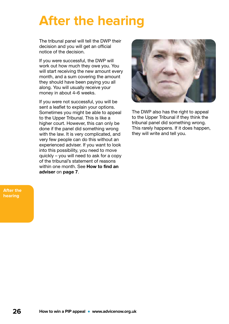### <span id="page-25-0"></span>**After the hearing**

The tribunal panel will tell the DWP their decision and you will get an official notice of the decision.

If you were successful, the DWP will work out how much they owe you. You will start receiving the new amount every month, and a sum covering the amount they should have been paying you all along. You will usually receive your money in about 4–6 weeks.

If you were not successful, you will be sent a leaflet to explain your options. Sometimes you might be able to appeal to the Upper Tribunal. This is like a higher court. However, this can only be done if the panel did something wrong with the law. It is very complicated, and very few people can do this without an experienced adviser. If you want to look into this possibility, you need to move quickly – you will need to ask for a copy of the tribunal's statement of reasons within one month. See **How to find an** adviser on [page 7](#page-6-0).



The DWP also has the right to appeal to the Upper Tribunal if they think the tribunal panel did something wrong. This rarely happens. If it does happen, they will write and tell you.

**After the hearing**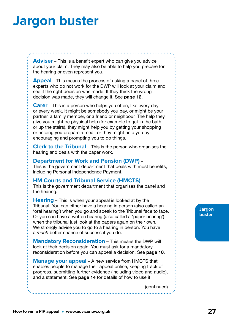### <span id="page-26-0"></span>**Jargon buster**

**Adviser** – This is a benefit expert who can give you advice about your claim. They may also be able to help you prepare for the hearing or even represent you.

**Appeal** – This means the process of asking a panel of three experts who do not work for the DWP will look at your claim and see if the right decision was made. If they think the wrong decision was made, they will change it. See [page 12](#page-11-0).

**Carer** – This is a person who helps you often, like every day or every week. It might be somebody you pay, or might be your partner, a family member, or a friend or neighbour. The help they give you might be physical help (for example to get in the bath or up the stairs), they might help you by getting your shopping or helping you prepare a meal, or they might help you by encouraging and prompting you to do things.

**Clerk to the Tribunal** – This is the person who organises the hearing and deals with the paper work.

#### **Department for Work and Pension (DWP)** –

This is the government department that deals with most benefits, including Personal Independence Payment.

#### **HM Courts and Tribunal Service (HMCTS)** –

This is the government department that organises the panel and the hearing.

**Hearing** – This is when your appeal is looked at by the Tribunal. You can either have a hearing in person (also called an 'oral hearing') when you go and speak to the Tribunal face to face. Or you can have a written hearing (also called a 'paper hearing') when the tribunal just look at the papers again on their own. We strongly advise you to go to a hearing in person. You have a *much* better chance of success if you do.

**Mandatory Reconsideration** – This means the DWP will look at their decision again. You must ask for a mandatory reconsideration before you can appeal a decision. See [page 10](#page-9-0).

**Manage your appeal** – A new service from HMCTS that enables people to manage their appeal online, keeping track of progress, submitting further evidence (including video and audio), and a statement. See [page 14](#page-13-0) for details of how to use it.

(continued)

**Jargon buster**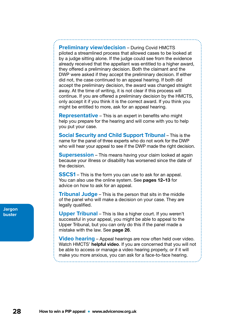**Preliminary view/decision** – During Covid HMCTS piloted a streamlined process that allowed cases to be looked at by a judge sitting alone. If the judge could see from the evidence already received that the appellant was entitled to a higher award, they offered a preliminary decision. Both the claimant and the DWP were asked if they accept the preliminary decision. If either did not, the case continued to an appeal hearing. If both did accept the preliminary decision, the award was changed straight away. At the time of writing, it is not clear if this process will continue. If you are offered a preliminary decision by the HMCTS, only accept it if you think it is the correct award. If you think you might be entitled to more, ask for an appeal hearing.

**Representative** – This is an expert in benefits who might help you prepare for the hearing and will come with you to help you put your case.

**Social Security and Child Support Tribunal** – This is the name for the panel of three experts who do not work for the DWP who will hear your appeal to see if the DWP made the right decision.

**Supersession** – This means having your claim looked at again because your illness or disability has worsened since the date of the decision.

**SSCS1** – This is the form you can use to ask for an appeal. You can also use the online system. See [pages 12–13](#page-11-0) for advice on how to ask for an appeal.

**Tribunal Judge** – This is the person that sits in the middle of the panel who will make a decision on your case. They are legally qualified.

**Upper Tribunal** – This is like a higher court. If you weren't successful in your appeal, you might be able to appeal to the Upper Tribunal, but you can only do this if the panel made a mistake with the law. See [page 26](#page-25-0).

**Video hearing** – Appeal hearings are now often held over video. Watch HMCTS' [helpful video](https://youtu.be/Sd0ldV2GKcY). If you are concerned that you will not be able to access or manage a video hearing properly, or if it will make you more anxious, you can ask for a face-to-face hearing.

#### **Jargon buster**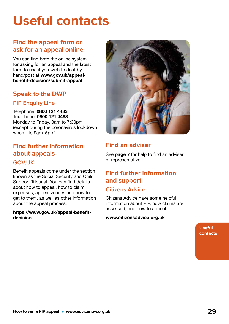## <span id="page-28-0"></span>**Useful contacts**

#### **Find the appeal form or ask for an appeal online**

You can find both the online system for asking for an appeal and the latest form to use if you wish to do it by hand/post at [www.gov.uk/appeal](http://www.gov.uk/appeal-benefit-decision/submit-appeal)[benefit-decision/submit-appeal](http://www.gov.uk/appeal-benefit-decision/submit-appeal)

#### **Speak to the DWP**

#### **PIP Enquiry Line**

Telephone: 0800 121 4433 Textphone: 0800 121 4493 Monday to Friday, 8am to 7:30pm (except during the coronavirus lockdown when it is 9am–5pm)

#### **Find further information about appeals**

#### **GOV.UK**

Benefit appeals come under the section known as the Social Security and Child Support Tribunal. You can find details about how to appeal, how to claim expenses, appeal venues and how to get to them, as well as other information about the appeal process.

[https://www.gov.uk/appeal-benefit](https://www.gov.uk/appeal-benefit-decision)[decision](https://www.gov.uk/appeal-benefit-decision)



#### **Find an adviser**

See **[page 7](#page-6-0)** for help to find an adviser or representative.

#### **Find further information and support**

#### **Citizens Advice**

Citizens Advice have some helpful information about PIP, how claims are assessed, and how to appeal.

#### [www.citizensadvice.org.uk](http://www.citizensadvice.org.uk)

**Useful contacts**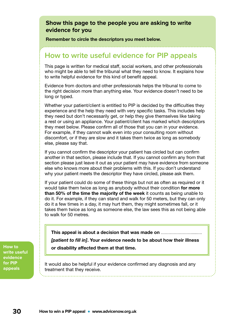#### <span id="page-29-0"></span>**Show this page to the people you are asking to write evidence for you**

Remember to circle the descriptors you meet below.

#### **How to write useful evidence for PIP appeals**

This page is written for medical staff, social workers, and other professionals who might be able to tell the tribunal what they need to know. It explains how to write helpful evidence for this kind of benefit appeal.

Evidence from doctors and other professionals helps the tribunal to come to the right decision more than anything else. Your evidence doesn't need to be long or typed.

Whether your patient/client is entitled to PIP is decided by the difficulties they experience and the help they need with very specific tasks. This includes help they need but don't necessarily get, or help they give themselves like taking a rest or using an appliance. Your patient/client has marked which descriptors they meet below. Please confirm all of those that you can in your evidence. For example, if they cannot walk even into your consulting room without discomfort, or if they are slow and it takes them twice as long as somebody else, please say that.

If you cannot confirm the descriptor your patient has circled but can confirm another in that section, please include that. If you cannot confirm any from that section please just leave it out as your patient may have evidence from someone else who knows more about their problems with this. If you don't understand why your patient meets the descriptor they have circled, please ask them.

If your patient could do some of these things but not as often as required or it would take them twice as long as anybody without their condition for more than 50% of the time the majority of the week it counts as being unable to do it. For example, if they can stand and walk for 50 meters, but they can only do it a few times in a day, it may hurt them, they might sometimes fall, or it takes them twice as long as someone else, the law sees this as not being able to walk for 50 metres.

This appeal is about a decision that was made on ............ *[patient to fill in]*. Your evidence needs to be about how their illness or disability affected them at that time.

**write useful evidence for PIP appeals**

**How to** 

It would also be helpful if your evidence confirmed any diagnosis and any treatment that they receive.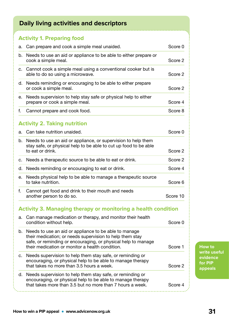#### **Daily living activities and descriptors**

|    | .                                                                                                                                                                                                                                     |          |
|----|---------------------------------------------------------------------------------------------------------------------------------------------------------------------------------------------------------------------------------------|----------|
|    | <b>Activity 1. Preparing food</b>                                                                                                                                                                                                     |          |
| a. | Can prepare and cook a simple meal unaided.                                                                                                                                                                                           | Score 0  |
| b. | Needs to use an aid or appliance to be able to either prepare or<br>cook a simple meal.                                                                                                                                               | Score 2  |
| C. | Cannot cook a simple meal using a conventional cooker but is<br>able to do so using a microwave.                                                                                                                                      | Score 2  |
| d. | Needs reminding or encouraging to be able to either prepare<br>or cook a simple meal.                                                                                                                                                 | Score 2  |
| е. | Needs supervision to help stay safe or physical help to either<br>prepare or cook a simple meal.                                                                                                                                      | Score 4  |
| f. | Cannot prepare and cook food.                                                                                                                                                                                                         | Score 8  |
|    | <b>Activity 2. Taking nutrition</b>                                                                                                                                                                                                   |          |
| a. | Can take nutrition unaided.                                                                                                                                                                                                           | Score 0  |
| b. | Needs to use an aid or appliance, or supervision to help them<br>stay safe, or physical help to be able to cut up food to be able<br>to eat or drink.                                                                                 | Score 2  |
| c. | Needs a therapeutic source to be able to eat or drink.                                                                                                                                                                                | Score 2  |
| d. | Needs reminding or encouraging to eat or drink.                                                                                                                                                                                       | Score 4  |
| е. | Needs physical help to be able to manage a therapeutic source<br>to take nutrition.                                                                                                                                                   | Score 6  |
| f. | Cannot get food and drink to their mouth and needs<br>another person to do so.                                                                                                                                                        | Score 10 |
|    | <b>Activity 3. Managing therapy or monitoring a health condition</b>                                                                                                                                                                  |          |
| a. | Can manage medication or therapy, and monitor their health<br>condition without help.                                                                                                                                                 | Score 0  |
| b. | Needs to use an aid or appliance to be able to manage<br>their medication; or needs supervision to help them stay<br>safe, or reminding or encouraging, or physical help to manage<br>their medication or monitor a health condition. | Score 1  |
| c. | Needs supervision to help them stay safe, or reminding or<br>encouraging, or physical help to be able to manage therapy                                                                                                               |          |

that takes no more than 3.5 hours a week. Score 2

that takes more than 3.5 but no more than 7 hours a week. Score 4

d. Needs supervision to help them stay safe, or reminding or encouraging, or physical help to be able to manage therapy **How to write useful evidence for PIP appeals**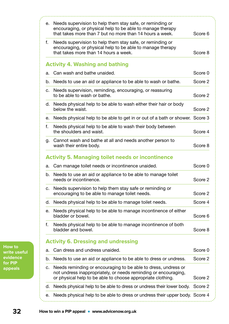| е. | Needs supervision to help them stay safe, or reminding or<br>encouraging, or physical help to be able to manage therapy<br>that takes more than 7 but no more than 14 hours a week.              | Score 6 |
|----|--------------------------------------------------------------------------------------------------------------------------------------------------------------------------------------------------|---------|
| f. | Needs supervision to help them stay safe, or reminding or<br>encouraging, or physical help to be able to manage therapy<br>that takes more than 14 hours a week.                                 | Score 8 |
|    | <b>Activity 4. Washing and bathing</b>                                                                                                                                                           |         |
| a. | Can wash and bathe unaided.                                                                                                                                                                      | Score 0 |
|    | b. Needs to use an aid or appliance to be able to wash or bathe.                                                                                                                                 | Score 2 |
| C. | Needs supervision, reminding, encouraging, or reassuring<br>to be able to wash or bathe.                                                                                                         | Score 2 |
|    | d. Needs physical help to be able to wash either their hair or body<br>below the waist.                                                                                                          | Score 2 |
| е. | Needs physical help to be able to get in or out of a bath or shower. Score 3                                                                                                                     |         |
| f. | Needs physical help to be able to wash their body between<br>the shoulders and waist.                                                                                                            | Score 4 |
| g. | Cannot wash and bathe at all and needs another person to<br>wash their entire body.                                                                                                              | Score 8 |
|    | <b>Activity 5. Managing toilet needs or incontinence</b>                                                                                                                                         |         |
| а. | Can manage toilet needs or incontinence unaided.                                                                                                                                                 | Score 0 |
|    | b. Needs to use an aid or appliance to be able to manage toilet<br>needs or incontinence.                                                                                                        | Score 2 |
| C. | Needs supervision to help them stay safe or reminding or<br>encouraging to be able to manage toilet needs.                                                                                       | Score 2 |
| d. | Needs physical help to be able to manage toilet needs.                                                                                                                                           | Score 4 |
| е. | Needs physical help to be able to manage incontinence of either<br>bladder or bowel.                                                                                                             | Score 6 |
| f. | Needs physical help to be able to manage incontinence of both<br>bladder and bowel.                                                                                                              | Score 8 |
|    | <b>Activity 6. Dressing and undressing</b>                                                                                                                                                       |         |
| a. | Can dress and undress unaided.                                                                                                                                                                   | Score 0 |
| b. | Needs to use an aid or appliance to be able to dress or undress.                                                                                                                                 | Score 2 |
| c. | Needs reminding or encouraging to be able to dress, undress or<br>not undress inappropriately, or needs reminding or encouraging,<br>or physical help to be able to choose appropriate clothing. | Score 2 |
| d. | Needs physical help to be able to dress or undress their lower body.                                                                                                                             | Score 2 |
| е. | Needs physical help to be able to dress or undress their upper body. Score 4                                                                                                                     |         |

**How to write useful evidence for PIP appeals**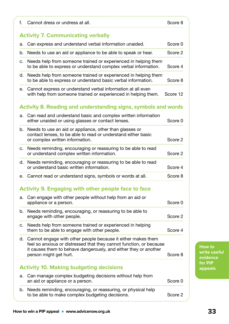| f. | Cannot dress or undress at all.                                                                                                                                                                                                   | Score 8  |
|----|-----------------------------------------------------------------------------------------------------------------------------------------------------------------------------------------------------------------------------------|----------|
|    | <b>Activity 7. Communicating verbally</b>                                                                                                                                                                                         |          |
| а. | Can express and understand verbal information unaided.                                                                                                                                                                            | Score 0  |
| b. | Needs to use an aid or appliance to be able to speak or hear.                                                                                                                                                                     | Score 2  |
| c. | Needs help from someone trained or experienced in helping them<br>to be able to express or understand complex verbal information.                                                                                                 | Score 4  |
| d. | Needs help from someone trained or experienced in helping them<br>to be able to express or understand basic verbal information.                                                                                                   | Score 8  |
| е. | Cannot express or understand verbal information at all even<br>with help from someone trained or experienced in helping them.                                                                                                     | Score 12 |
|    | <b>Activity 8. Reading and understanding signs, symbols and words</b>                                                                                                                                                             |          |
| a. | Can read and understand basic and complex written information<br>either unaided or using glasses or contact lenses.                                                                                                               | Score 0  |
| b. | Needs to use an aid or appliance, other than glasses or<br>contact lenses, to be able to read or understand either basic<br>or complex written information.                                                                       | Score 2  |
| c. | Needs reminding, encouraging or reassuring to be able to read<br>or understand complex written information.                                                                                                                       | Score 2  |
| d. | Needs reminding, encouraging or reassuring to be able to read<br>or understand basic written information.                                                                                                                         | Score 4  |
| е. | Cannot read or understand signs, symbols or words at all.                                                                                                                                                                         | Score 8  |
|    | <b>Activity 9. Engaging with other people face to face</b>                                                                                                                                                                        |          |
| a. | Can engage with other people without help from an aid or<br>appliance or a person.                                                                                                                                                | Score 0  |
| b. | Needs reminding, encouraging, or reassuring to be able to<br>engage with other people.                                                                                                                                            | Score 2  |
| c. | Needs help from someone trained or experienced in helping<br>them to be able to engage with other people.                                                                                                                         | Score 4  |
| d. | Cannot engage with other people because it either makes them<br>feel so anxious or distressed that they cannot function, or because<br>it causes them to behave dangerously, and either they or another<br>person might get hurt. | Score 8  |
|    | <b>Activity 10. Making budgeting decisions</b>                                                                                                                                                                                    |          |
| a. | Can manage complex budgeting decisions without help from<br>an aid or appliance or a person.                                                                                                                                      | Score 0  |
|    |                                                                                                                                                                                                                                   |          |

**How to write useful evidence for PIP appeals**

i<br>M

.....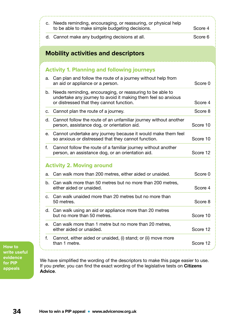|    | c. Needs reminding, encouraging, or reassuring, or physical help<br>to be able to make simple budgeting decisions.                                                     | Score 4  |
|----|------------------------------------------------------------------------------------------------------------------------------------------------------------------------|----------|
|    | d. Cannot make any budgeting decisions at all.                                                                                                                         | Score 6  |
|    | <b>Mobility activities and descriptors</b>                                                                                                                             |          |
|    | <b>Activity 1. Planning and following journeys</b>                                                                                                                     |          |
| a. | Can plan and follow the route of a journey without help from<br>an aid or appliance or a person.                                                                       | Score 0  |
| b. | Needs reminding, encouraging, or reassuring to be able to<br>undertake any journey to avoid it making them feel so anxious<br>or distressed that they cannot function. | Score 4  |
| c. | Cannot plan the route of a journey.                                                                                                                                    | Score 8  |
| d. | Cannot follow the route of an unfamiliar journey without another<br>person, assistance dog, or orientation aid.                                                        | Score 10 |
| е. | Cannot undertake any journey because it would make them feel<br>so anxious or distressed that they cannot function.                                                    | Score 10 |
| f. | Cannot follow the route of a familiar journey without another<br>person, an assistance dog, or an orientation aid.                                                     | Score 12 |
|    | <b>Activity 2. Moving around</b>                                                                                                                                       |          |
| a. | Can walk more than 200 metres, either aided or unaided.                                                                                                                | Score 0  |
| b. | Can walk more than 50 metres but no more than 200 metres,<br>either aided or unaided                                                                                   | Score 4  |
| C. | Can walk unaided more than 20 metres but no more than<br>50 metres.                                                                                                    | Score 8  |
|    | d. Can walk using an aid or appliance more than 20 metres<br>but no more than 50 metres.                                                                               | Score 10 |
| е. | Can walk more than 1 metre but no more than 20 metres,<br>either aided or unaided.                                                                                     | Score 12 |
| f. | Cannot, either aided or unaided, (i) stand; or (ii) move more<br>than 1 metre.                                                                                         | Score 12 |

**How to write useful evidence for PIP appeals**

We have simplified the wording of the descriptors to make this page easier to use. If you prefer, you can find the exact wording of the legislative tests on Citizens [Advice](https://www.citizensadvice.org.uk/Global/Migrated_Documents/adviceguide/pip-9-table-of-activities-descriptors-and-points.pdf).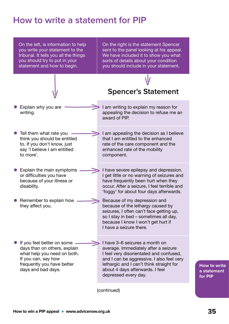### <span id="page-34-0"></span>**How to write a statement for PIP**

On the left, is information to help you write your statement to the tribunal. It tells you all the things you should try to put in your statement and how to begin.

On the right is the statement Spencer sent to the panel looking at his appeal. We have included it to show you what sorts of details about your condition you should include in your statement.

**Spencer's Statement**

I am writing to explain my reason for appealing the decision to refuse me an

award of PIP.

- Explain why you are writing.
- Tell them what rate you think you should be entitled to. If you don't know, just say 'I believe I am entitled to more'.
- Explain the main symptoms or difficulties you have because of your illness or disability.
- Remember to explain how they affect you.
- I am appealing the decision as I believe that I am entitled to the enhanced rate of the care component and the enhanced rate of the mobility component.
- I have severe epilepsy and depression. I get little or no warning of seizures and have frequently been hurt when they occur. After a seizure, I feel terrible and 'foggy' for about four days afterwards.
	- Because of my depression and because of the lethargy caused by seizures, I often can't face getting up, so I stay in bed – sometimes all day, because I know I won't get hurt if I have a seizure there.
- If you feel better on some days than on others, explain what help you need on both. If you can, say how frequently you have better days and bad days. I have 3–6 seizures a month on average. Immediately after a seizure I feel very disorientated and confused, and I can be aggressive. I also feel very lethargic and I can't think straight for about 4 days afterwards. I feel depressed every day.

(continued)

**How to write a statement for PIP**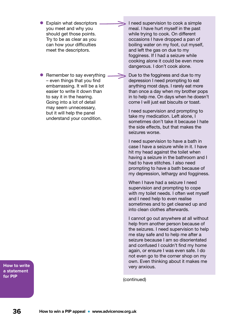- Explain what descriptors you meet and why you should get those points. Try to be as clear as you can how your difficulties meet the descriptors.
- Remember to say everything – even things that you find embarrassing. It will be a lot easier to write it down than to say it in the hearing. Going into a lot of detail may seem unnecessary, but it will help the panel understand your condition.

**How to write a statement for PIP**

I need supervision to cook a simple meal. I have hurt myself in the past while trying to cook. On different occasions I have dropped a pan of boiling water on my foot, cut myself, and left the gas on due to my fogginess. If I had a seizure while cooking alone it could be even more dangerous. I don't cook alone.

Due to the fogginess and due to my depression I need prompting to eat anything most days. I rarely eat more than once a day when my brother pops in to help me. On days when he doesn't come I will just eat biscuits or toast.

I need supervision and prompting to take my medication. Left alone, I sometimes don't take it because I hate the side effects, but that makes the seizures worse.

I need supervision to have a bath in case I have a seizure while in it. I have hit my head against the toilet when having a seizure in the bathroom and I had to have stitches. I also need prompting to have a bath because of my depression, lethargy and fogginess.

When I have had a seizure I need supervision and prompting to cope with my toilet needs. I often wet myself and I need help to even realise sometimes and to get cleaned up and into clean clothes afterwards.

I cannot go out anywhere at all without help from another person because of the seizures. I need supervision to help me stay safe and to help me after a seizure because I am so disorientated and confused I couldn't find my home again, or ensure I was even safe. I do not even go to the corner shop on my own. Even thinking about it makes me very anxious.

(continued)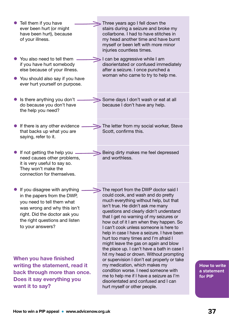| Tell them if you have<br>ever been hurt (or might<br>have been hurt), because<br>of your illness.                                                                                                                 | Three years ago I fell down the<br>stairs during a seizure and broke my<br>collarbone. I had to have stitches in<br>my head another time and have burnt<br>myself or been left with more minor<br>injuries countless times.                                                                                                                                                                                                                                                                                                                                    |
|-------------------------------------------------------------------------------------------------------------------------------------------------------------------------------------------------------------------|----------------------------------------------------------------------------------------------------------------------------------------------------------------------------------------------------------------------------------------------------------------------------------------------------------------------------------------------------------------------------------------------------------------------------------------------------------------------------------------------------------------------------------------------------------------|
| You also need to tell them<br>if you have hurt somebody<br>else because of your illness.<br>• You should also say if you have<br>ever hurt yourself on purpose.                                                   | I can be aggressive while I am<br>disorientated or confused immediately<br>after a seizure. I once punched a<br>woman who came to try to help me.                                                                                                                                                                                                                                                                                                                                                                                                              |
| Is there anything you don't<br>do because you don't have<br>the help you need?                                                                                                                                    | Some days I don't wash or eat at all<br>because I don't have any help.                                                                                                                                                                                                                                                                                                                                                                                                                                                                                         |
| If there is any other evidence<br>that backs up what you are<br>saying, refer to it.                                                                                                                              | The letter from my social worker, Steve<br>Scott, confirms this.                                                                                                                                                                                                                                                                                                                                                                                                                                                                                               |
| If not getting the help you<br>need causes other problems,<br>it is very useful to say so.<br>They won't make the<br>connection for themselves.                                                                   | Being dirty makes me feel depressed<br>and worthless.                                                                                                                                                                                                                                                                                                                                                                                                                                                                                                          |
| If you disagree with anything<br>in the papers from the DWP,<br>you need to tell them what<br>was wrong and why this isn't<br>right. Did the doctor ask you<br>the right questions and listen<br>to your answers? | The report from the DWP doctor said I<br>could cook, and wash and do pretty<br>much everything without help, but that<br>isn't true. He didn't ask me many<br>questions and clearly didn't understand<br>that I get no warning of my seizures or<br>how out of it I am when they happen. So<br>I can't cook unless someone is here to<br>help in case I have a seizure. I have been<br>hurt too many times and I'm afraid I<br>might leave the gas on again and blow<br>the place up. I can't have a bath in case I<br>hit my head or drown. Without prompting |
| When you have finished<br>writing the statement, read it<br>back through more than once.<br>Does it say everything you<br>want it to say?                                                                         | or supervision I don't eat properly or take<br>my medication, which makes my<br>condition worse. I need someone with<br>me to help me if I have a seizure as I'm<br>disorientated and confused and I can<br>hurt myself or other people.                                                                                                                                                                                                                                                                                                                       |

m.

**How to write a statement for PIP**